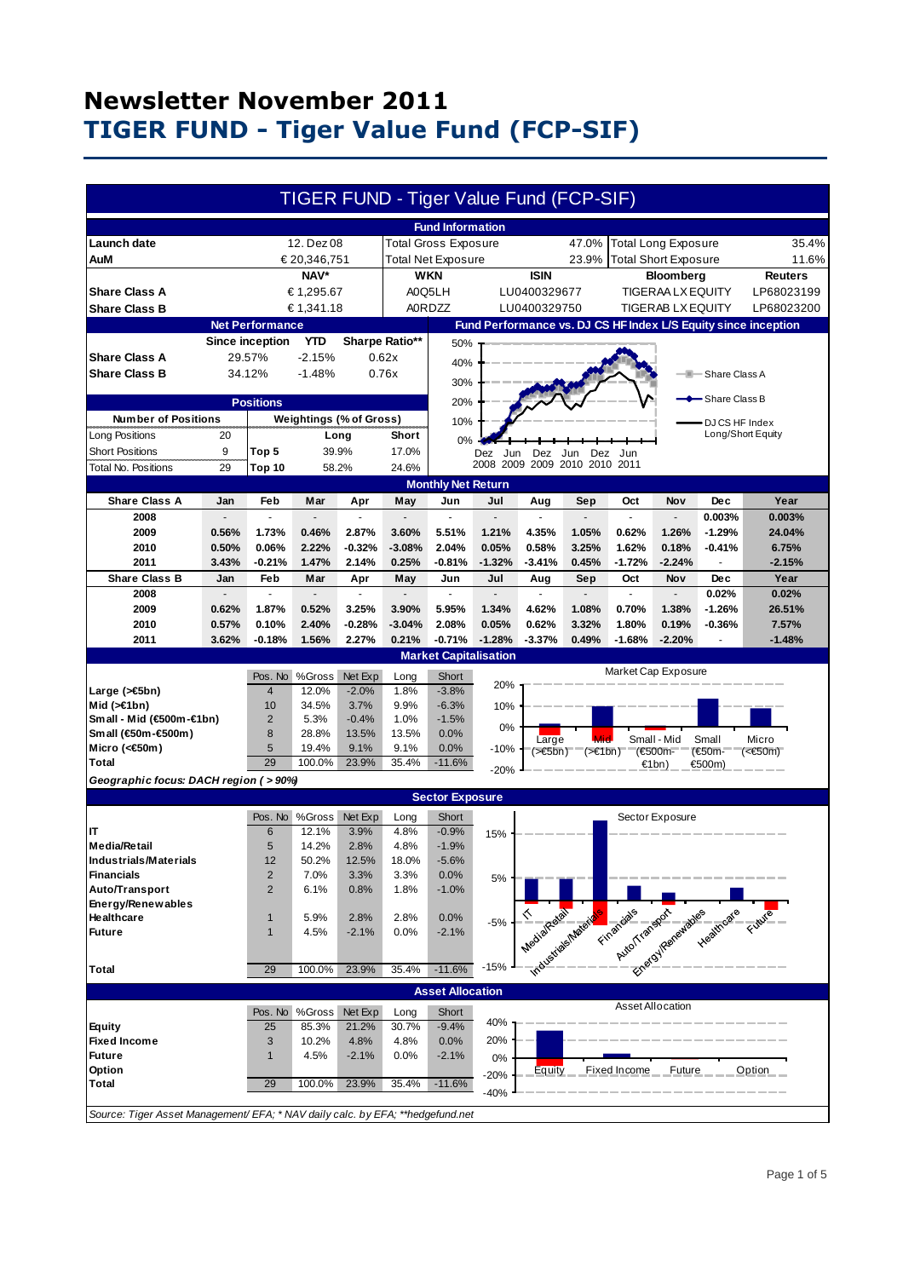|                                                                                 |                         |                              |               |                 |          | TIGER FUND - Tiger Value Fund (FCP-SIF) |            |                                      |                      |                          |                             |                                                                        |                                                                |
|---------------------------------------------------------------------------------|-------------------------|------------------------------|---------------|-----------------|----------|-----------------------------------------|------------|--------------------------------------|----------------------|--------------------------|-----------------------------|------------------------------------------------------------------------|----------------------------------------------------------------|
|                                                                                 |                         |                              |               |                 |          | <b>Fund Information</b>                 |            |                                      |                      |                          |                             |                                                                        |                                                                |
| <b>Launch date</b>                                                              |                         |                              | 12. Dez 08    |                 |          | <b>Total Gross Exposure</b>             |            |                                      | 47.0%                |                          | <b>Total Long Exposure</b>  |                                                                        | 35.4%                                                          |
| AuM                                                                             |                         |                              | € 20,346,751  |                 |          | <b>Total Net Exposure</b>               |            |                                      | 23.9%                |                          | <b>Total Short Exposure</b> |                                                                        | 11.6%                                                          |
|                                                                                 |                         |                              | NAV*          |                 |          | <b>WKN</b>                              |            | <b>ISIN</b>                          |                      |                          | <b>Bloomberg</b>            |                                                                        | <b>Reuters</b>                                                 |
| <b>Share Class A</b>                                                            |                         |                              | € 1,295.67    |                 |          | A0Q5LH                                  |            | LU0400329677                         |                      |                          | <b>TIGERAA LX EQUITY</b>    |                                                                        | LP68023199                                                     |
| <b>Share Class B</b>                                                            |                         |                              | € 1,341.18    |                 |          | <b>A0RDZZ</b>                           |            | LU0400329750                         |                      |                          | <b>TIGERAB LX EQUITY</b>    |                                                                        | LP68023200                                                     |
|                                                                                 |                         | <b>Net Performance</b>       |               |                 |          |                                         |            |                                      |                      |                          |                             |                                                                        | Fund Performance vs. DJ CS HF Index L/S Equity since inception |
|                                                                                 |                         |                              |               |                 |          |                                         |            |                                      |                      |                          |                             |                                                                        |                                                                |
|                                                                                 |                         | <b>Since inception</b>       | YTD           | Sharpe Ratio**  |          | 50%                                     |            |                                      |                      |                          |                             |                                                                        |                                                                |
| <b>Share Class A</b>                                                            |                         | 29.57%                       | $-2.15%$      |                 | 0.62x    | 40%                                     |            |                                      |                      |                          |                             |                                                                        |                                                                |
| <b>Share Class B</b>                                                            |                         | 34.12%                       | $-1.48%$      |                 | 0.76x    | 30%                                     |            |                                      |                      |                          |                             | —IIII— Share Class A                                                   |                                                                |
|                                                                                 | <b>Positions</b>        |                              |               |                 | 20%      |                                         |            |                                      |                      |                          | Share Class B               |                                                                        |                                                                |
| <b>Number of Positions</b>                                                      | Weightings (% of Gross) |                              |               |                 |          |                                         |            |                                      |                      |                          |                             |                                                                        |                                                                |
|                                                                                 |                         |                              |               |                 |          | 10%                                     |            |                                      |                      |                          |                             | DJ CS HF Index<br>Long/Short Equity                                    |                                                                |
| Long Positions                                                                  | 20                      |                              |               | Long            | Short    | 0%                                      |            |                                      |                      |                          |                             |                                                                        |                                                                |
| <b>Short Positions</b>                                                          | 9                       | Top 5                        |               | 39.9%           | 17.0%    |                                         | Jun<br>Dez | Dez<br>2008 2009 2009 2010 2010 2011 | Jun                  | Dez Jun                  |                             |                                                                        |                                                                |
| Total No. Positions                                                             | 29                      | Top 10                       |               | 58.2%           | 24.6%    |                                         |            |                                      |                      |                          |                             |                                                                        |                                                                |
|                                                                                 |                         |                              |               |                 |          | <b>Monthly Net Return</b>               |            |                                      |                      |                          |                             |                                                                        |                                                                |
| <b>Share Class A</b>                                                            | Jan                     | <b>Feb</b>                   | Mar           | Apr             | May      | Jun                                     | Jul        | Aug                                  | Sep                  | Oct                      | Nov                         | <b>Dec</b>                                                             | Year                                                           |
| 2008                                                                            |                         |                              |               |                 |          |                                         |            |                                      |                      | $\overline{\phantom{a}}$ | $\blacksquare$              | 0.003%                                                                 | 0.003%                                                         |
| 2009                                                                            | 0.56%                   | 1.73%                        | 0.46%         | 2.87%           | 3.60%    | 5.51%                                   | 1.21%      | 4.35%                                | 1.05%                | 0.62%                    | 1.26%                       | $-1.29%$                                                               | 24.04%                                                         |
| 2010                                                                            | 0.50%                   | 0.06%                        | 2.22%         | $-0.32%$        | $-3.08%$ | 2.04%                                   | 0.05%      | 0.58%                                | 3.25%                | 1.62%                    | 0.18%                       | -0.41%                                                                 | 6.75%                                                          |
| 2011                                                                            | 3.43%                   | $-0.21%$                     | 1.47%         | 2.14%           | 0.25%    | $-0.81%$                                | $-1.32%$   | $-3.41%$                             | 0.45%                | $-1.72%$                 | $-2.24%$                    |                                                                        | $-2.15%$                                                       |
| <b>Share Class B</b>                                                            | Jan                     | Feb                          | Mar           | Apr             | May      | Jun                                     | Jul        | Aug                                  | Sep                  | Oct                      | <b>Nov</b>                  | <b>Dec</b>                                                             | Year                                                           |
| 2008                                                                            |                         | ä,                           |               |                 |          |                                         |            |                                      |                      | l,                       |                             | 0.02%                                                                  | 0.02%                                                          |
| 2009                                                                            | 0.62%                   | 1.87%                        | 0.52%         | 3.25%           | 3.90%    | 5.95%                                   | 1.34%      | 4.62%                                | 1.08%                | 0.70%                    | 1.38%                       | $-1.26%$                                                               | 26.51%                                                         |
| 2010                                                                            | 0.57%                   | 0.10%                        | 2.40%         | $-0.28%$        | $-3.04%$ | 2.08%                                   | 0.05%      | 0.62%                                | 3.32%                | 1.80%                    | 0.19%                       | $-0.36%$                                                               | 7.57%                                                          |
| 2011                                                                            | 3.62%                   | $-0.18%$                     | 1.56%         | 2.27%           | 0.21%    | $-0.71%$                                | $-1.28%$   | $-3.37%$                             | 0.49%                | $-1.68%$                 | $-2.20%$                    | ÷,                                                                     | $-1.48%$                                                       |
|                                                                                 |                         |                              |               |                 |          | <b>Market Capitalisation</b>            |            |                                      |                      |                          |                             |                                                                        |                                                                |
|                                                                                 |                         | Pos. No                      | %Gross        | Net Exp         | Long     | Short                                   | 20%        |                                      |                      | Market Cap Exposure      |                             |                                                                        |                                                                |
| Large (>€5bn)                                                                   |                         | $\overline{4}$               | 12.0%         | $-2.0%$         | 1.8%     | $-3.8%$                                 |            |                                      |                      |                          |                             |                                                                        |                                                                |
| Mid $($ > $\in$ 1bn)                                                            |                         |                              |               |                 |          |                                         |            |                                      |                      |                          |                             |                                                                        |                                                                |
|                                                                                 |                         | 10                           | 34.5%         | 3.7%            | 9.9%     | $-6.3%$                                 | 10%        |                                      |                      |                          |                             |                                                                        |                                                                |
| Small - Mid (€500m-€1bn)                                                        |                         | $\overline{2}$               | 5.3%          | $-0.4%$         | 1.0%     | $-1.5%$                                 |            |                                      |                      |                          |                             |                                                                        |                                                                |
| Small (€50m-€500m)                                                              |                         | 8                            | 28.8%         | 13.5%           | 13.5%    | 0.0%                                    | 0%         | Large                                | Mic                  |                          | Small - Mid                 | Small                                                                  | Micro                                                          |
| Micro (< $60$ m)                                                                |                         | 5                            | 19.4%         | 9.1%            | 9.1%     | 0.0%                                    | $-10%$     | (>€5bn)                              | $($ > $\in$ 1 bn $)$ |                          | (€500m-                     | (€50m-                                                                 | (<€50m)                                                        |
| Total                                                                           |                         | 29                           | 100.0%        | 23.9%           | 35.4%    | $-11.6%$                                | $-20%$     |                                      |                      |                          | €1bn)                       | €500m)                                                                 |                                                                |
| Geographic focus: DACH region ( > 90%)                                          |                         |                              |               |                 |          |                                         |            |                                      |                      |                          |                             |                                                                        |                                                                |
|                                                                                 |                         |                              |               |                 |          | <b>Sector Exposure</b>                  |            |                                      |                      |                          |                             |                                                                        |                                                                |
|                                                                                 |                         | Pos. No                      | %Gross        | Net Exp         | Long     | Short                                   |            |                                      |                      |                          | Sector Exposure             |                                                                        |                                                                |
| IT                                                                              |                         | 6                            | 12.1%         | 3.9%            | 4.8%     | $-0.9%$                                 | 15%        |                                      |                      |                          |                             |                                                                        |                                                                |
| <b>Media/Retail</b>                                                             |                         | 5                            | 14.2%         | 2.8%            | 4.8%     | $-1.9%$                                 |            |                                      |                      |                          |                             |                                                                        |                                                                |
| <b>Industrials/Materials</b>                                                    |                         | 12                           | 50.2%         | 12.5%           | 18.0%    | $-5.6%$                                 |            |                                      |                      |                          |                             |                                                                        |                                                                |
| <b>Financials</b>                                                               |                         | $\overline{2}$               | 7.0%          | 3.3%            | 3.3%     | 0.0%                                    | 5%         |                                      |                      |                          |                             |                                                                        |                                                                |
| Auto/Transport                                                                  |                         | $\overline{2}$               | 6.1%          | 0.8%            | 1.8%     | $-1.0%$                                 |            |                                      |                      |                          |                             |                                                                        |                                                                |
| Energy/Renewables                                                               |                         |                              |               |                 |          |                                         |            |                                      |                      |                          |                             |                                                                        |                                                                |
| Healthcare                                                                      |                         | $\mathbf{1}$                 | 5.9%          | 2.8%            | 2.8%     | 0.0%                                    | $-5%$      |                                      |                      |                          |                             |                                                                        |                                                                |
| <b>Future</b>                                                                   |                         | $\mathbf{1}$                 | 4.5%          | $-2.1%$         | 0.0%     | $-2.1%$                                 |            |                                      |                      |                          |                             |                                                                        |                                                                |
|                                                                                 |                         |                              |               |                 |          |                                         |            |                                      |                      |                          |                             |                                                                        |                                                                |
| Total                                                                           |                         | 29                           | 100.0%        | 23.9%           | 35.4%    | $-11.6%$                                | $-15%$     |                                      |                      |                          |                             | Theological Materials Entrance of the paper traditions in case cutting |                                                                |
|                                                                                 |                         |                              |               |                 |          | <b>Asset Allocation</b>                 |            |                                      |                      |                          |                             |                                                                        |                                                                |
|                                                                                 |                         |                              |               |                 |          |                                         |            |                                      |                      |                          | Asset Allocation            |                                                                        |                                                                |
|                                                                                 |                         | Pos. No                      | %Gross        | Net Exp         | Long     | Short                                   | 40%        |                                      |                      |                          |                             |                                                                        |                                                                |
| <b>Equity</b>                                                                   |                         | 25                           | 85.3%         | 21.2%           | 30.7%    | $-9.4%$                                 |            |                                      |                      |                          |                             |                                                                        |                                                                |
| <b>Fixed Income</b><br><b>Future</b>                                            |                         | $\mathbf{3}$<br>$\mathbf{1}$ | 10.2%<br>4.5% | 4.8%<br>$-2.1%$ | 4.8%     | 0.0%<br>$-2.1%$                         | 20%        |                                      |                      |                          |                             |                                                                        |                                                                |
| Option                                                                          |                         |                              |               |                 | 0.0%     |                                         | 0%         |                                      |                      | Fixed Income             | Future                      |                                                                        | Option                                                         |
| Total                                                                           |                         | 29                           | 100.0%        | 23.9%           | 35.4%    | $-11.6%$                                | $-20%$     | Equity                               |                      |                          |                             |                                                                        |                                                                |
| Source: Tiger Asset Management/ EFA; * NAV daily calc. by EFA; ** hedgefund.net |                         |                              |               |                 |          |                                         | $-40%$     |                                      |                      |                          |                             |                                                                        |                                                                |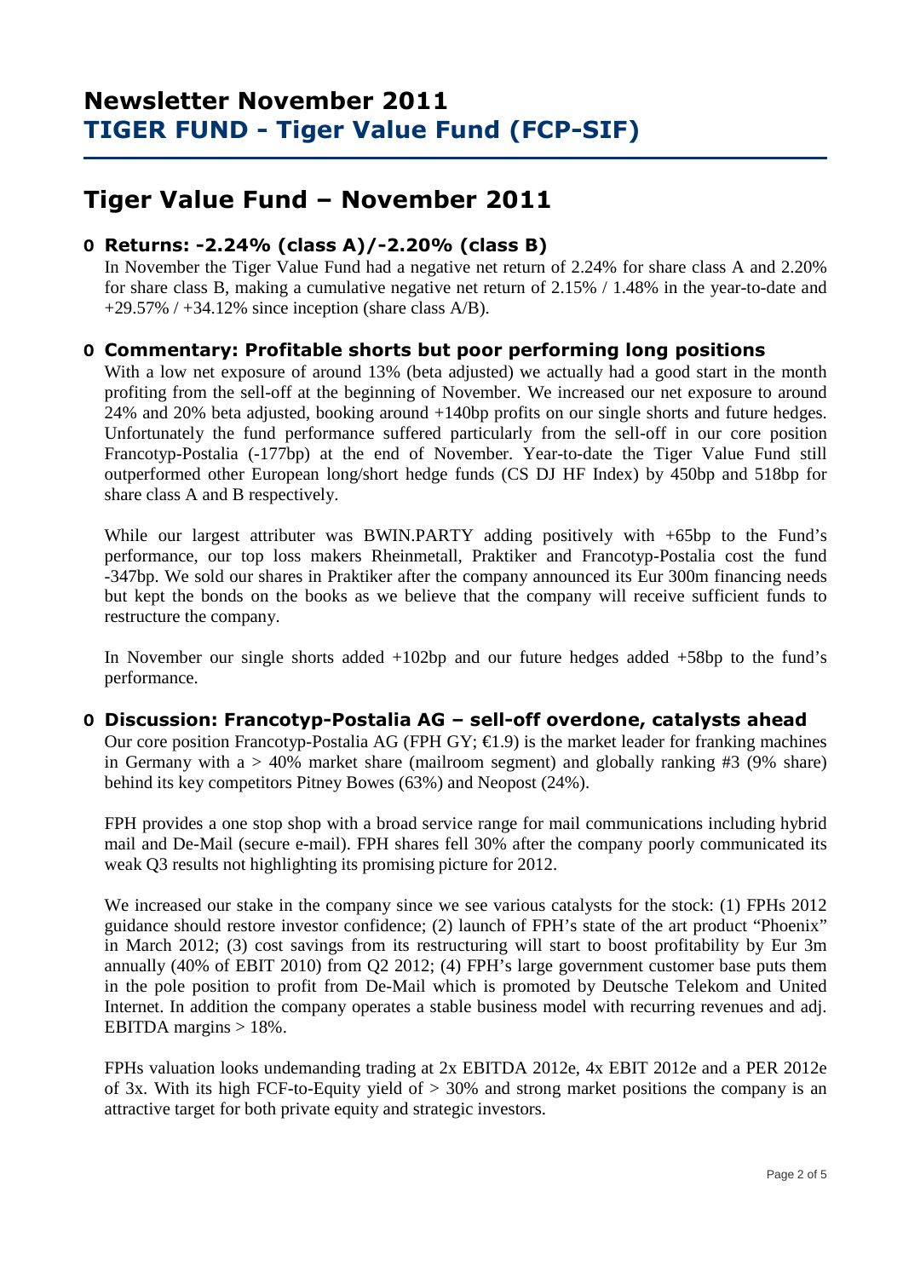### **Tiger Value Fund – November 2011**

### **O Returns: -2.24% (class A)/-2.20% (class B)**

 In November the Tiger Value Fund had a negative net return of 2.24% for share class A and 2.20% for share class B, making a cumulative negative net return of 2.15% / 1.48% in the year-to-date and  $+29.57\%$  /  $+34.12\%$  since inception (share class A/B).

### **O Commentary: Profitable shorts but poor performing long positions**

With a low net exposure of around 13% (beta adjusted) we actually had a good start in the month profiting from the sell-off at the beginning of November. We increased our net exposure to around 24% and 20% beta adjusted, booking around +140bp profits on our single shorts and future hedges. Unfortunately the fund performance suffered particularly from the sell-off in our core position Francotyp-Postalia (-177bp) at the end of November. Year-to-date the Tiger Value Fund still outperformed other European long/short hedge funds (CS DJ HF Index) by 450bp and 518bp for share class A and B respectively.

While our largest attributer was BWIN.PARTY adding positively with  $+65bp$  to the Fund's performance, our top loss makers Rheinmetall, Praktiker and Francotyp-Postalia cost the fund -347bp. We sold our shares in Praktiker after the company announced its Eur 300m financing needs but kept the bonds on the books as we believe that the company will receive sufficient funds to restructure the company.

In November our single shorts added +102bp and our future hedges added +58bp to the fund's performance.

### **O Discussion: Francotyp-Postalia AG – sell-off overdone, catalysts ahead**

Our core position Francotyp-Postalia AG (FPH GY;  $\in$ 19) is the market leader for franking machines in Germany with a  $> 40\%$  market share (mailroom segment) and globally ranking #3 (9% share) behind its key competitors Pitney Bowes (63%) and Neopost (24%).

FPH provides a one stop shop with a broad service range for mail communications including hybrid mail and De-Mail (secure e-mail). FPH shares fell 30% after the company poorly communicated its weak Q3 results not highlighting its promising picture for 2012.

We increased our stake in the company since we see various catalysts for the stock: (1) FPHs 2012 guidance should restore investor confidence; (2) launch of FPH's state of the art product "Phoenix" in March 2012; (3) cost savings from its restructuring will start to boost profitability by Eur 3m annually (40% of EBIT 2010) from Q2 2012; (4) FPH's large government customer base puts them in the pole position to profit from De-Mail which is promoted by Deutsche Telekom and United Internet. In addition the company operates a stable business model with recurring revenues and adj. EBITDA margins > 18%.

FPHs valuation looks undemanding trading at 2x EBITDA 2012e, 4x EBIT 2012e and a PER 2012e of 3x. With its high FCF-to-Equity yield of  $>$  30% and strong market positions the company is an attractive target for both private equity and strategic investors.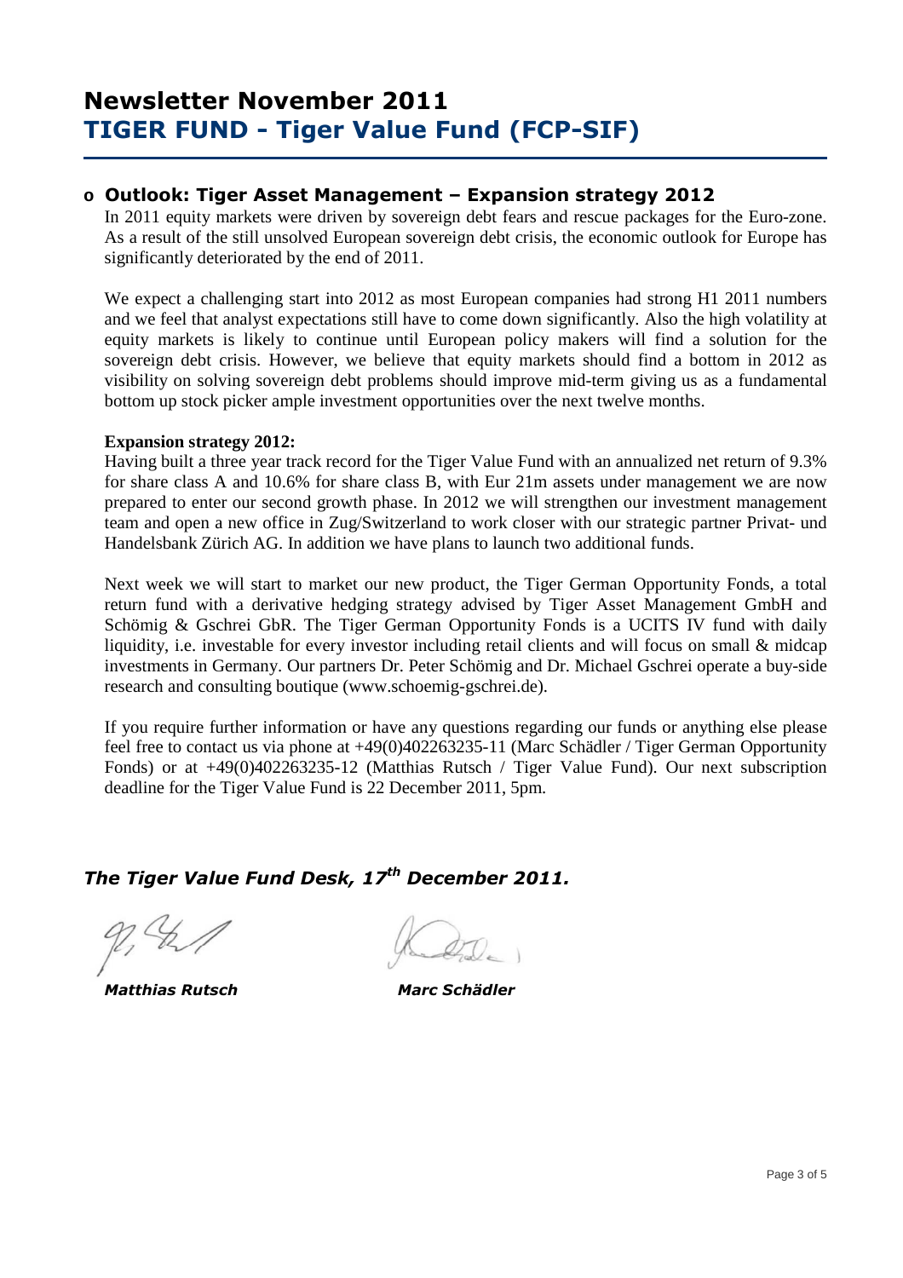### **o Outlook: Tiger Asset Management – Expansion strategy 2012**

In 2011 equity markets were driven by sovereign debt fears and rescue packages for the Euro-zone. As a result of the still unsolved European sovereign debt crisis, the economic outlook for Europe has significantly deteriorated by the end of 2011.

We expect a challenging start into 2012 as most European companies had strong H1 2011 numbers and we feel that analyst expectations still have to come down significantly. Also the high volatility at equity markets is likely to continue until European policy makers will find a solution for the sovereign debt crisis. However, we believe that equity markets should find a bottom in 2012 as visibility on solving sovereign debt problems should improve mid-term giving us as a fundamental bottom up stock picker ample investment opportunities over the next twelve months.

#### **Expansion strategy 2012:**

Having built a three year track record for the Tiger Value Fund with an annualized net return of 9.3% for share class A and 10.6% for share class B, with Eur 21m assets under management we are now prepared to enter our second growth phase. In 2012 we will strengthen our investment management team and open a new office in Zug/Switzerland to work closer with our strategic partner Privat- und Handelsbank Zürich AG. In addition we have plans to launch two additional funds.

Next week we will start to market our new product, the Tiger German Opportunity Fonds, a total return fund with a derivative hedging strategy advised by Tiger Asset Management GmbH and Schömig & Gschrei GbR. The Tiger German Opportunity Fonds is a UCITS IV fund with daily liquidity, i.e. investable for every investor including retail clients and will focus on small & midcap investments in Germany. Our partners Dr. Peter Schömig and Dr. Michael Gschrei operate a buy-side research and consulting boutique (www.schoemig-gschrei.de).

If you require further information or have any questions regarding our funds or anything else please feel free to contact us via phone at +49(0)402263235-11 (Marc Schädler / Tiger German Opportunity Fonds) or at +49(0)402263235-12 (Matthias Rutsch / Tiger Value Fund). Our next subscription deadline for the Tiger Value Fund is 22 December 2011, 5pm.

## *The Tiger Value Fund Desk, 17th December 2011.*

 *Matthias Rutsch Marc Schädler*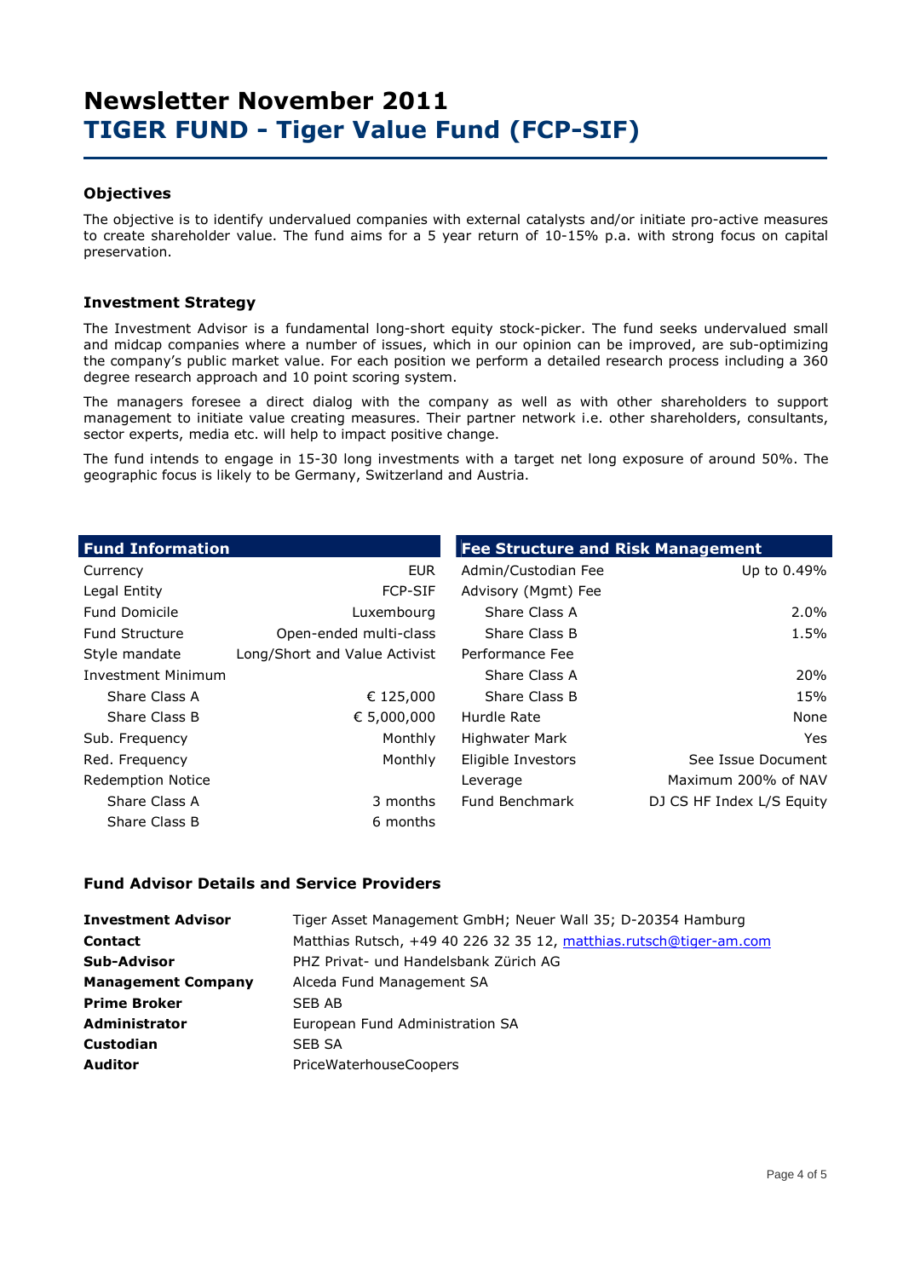#### **Objectives**

The objective is to identify undervalued companies with external catalysts and/or initiate pro-active measures to create shareholder value. The fund aims for a 5 year return of 10-15% p.a. with strong focus on capital preservation.

#### **Investment Strategy**

The Investment Advisor is a fundamental long-short equity stock-picker. The fund seeks undervalued small and midcap companies where a number of issues, which in our opinion can be improved, are sub-optimizing the company's public market value. For each position we perform a detailed research process including a 360 degree research approach and 10 point scoring system.

The managers foresee a direct dialog with the company as well as with other shareholders to support management to initiate value creating measures. Their partner network i.e. other shareholders, consultants, sector experts, media etc. will help to impact positive change.

The fund intends to engage in 15-30 long investments with a target net long exposure of around 50%. The geographic focus is likely to be Germany, Switzerland and Austria.

| <b>Fund Information</b>   |                               | <b>Fee Structure and Risk Management</b> |                           |  |  |  |  |
|---------------------------|-------------------------------|------------------------------------------|---------------------------|--|--|--|--|
| Currency                  | <b>EUR</b>                    | Admin/Custodian Fee                      | Up to 0.49%               |  |  |  |  |
| Legal Entity              | <b>FCP-SIF</b>                | Advisory (Mgmt) Fee                      |                           |  |  |  |  |
| <b>Fund Domicile</b>      | Luxembourg                    | Share Class A                            | 2.0%                      |  |  |  |  |
| <b>Fund Structure</b>     | Open-ended multi-class        | Share Class B                            | 1.5%                      |  |  |  |  |
| Style mandate             | Long/Short and Value Activist | Performance Fee                          |                           |  |  |  |  |
| <b>Investment Minimum</b> |                               | Share Class A                            | 20%                       |  |  |  |  |
| Share Class A             | € 125,000                     | Share Class B                            | 15%                       |  |  |  |  |
| Share Class B             | € 5,000,000                   | Hurdle Rate                              | None                      |  |  |  |  |
| Sub. Frequency            | Monthly                       | <b>Highwater Mark</b>                    | Yes.                      |  |  |  |  |
| Red. Frequency            | Monthly                       | Eligible Investors                       | See Issue Document        |  |  |  |  |
| <b>Redemption Notice</b>  |                               | Leverage                                 | Maximum 200% of NAV       |  |  |  |  |
| Share Class A             | 3 months                      | Fund Benchmark                           | DJ CS HF Index L/S Equity |  |  |  |  |
| Share Class B             | 6 months                      |                                          |                           |  |  |  |  |

#### **Fund Advisor Details and Service Providers**

| <b>Investment Advisor</b> | Tiger Asset Management GmbH; Neuer Wall 35; D-20354 Hamburg        |
|---------------------------|--------------------------------------------------------------------|
| <b>Contact</b>            | Matthias Rutsch, +49 40 226 32 35 12, matthias.rutsch@tiger-am.com |
| Sub-Advisor               | PHZ Privat- und Handelsbank Zürich AG                              |
| <b>Management Company</b> | Alceda Fund Management SA                                          |
| <b>Prime Broker</b>       | SEB AB                                                             |
| Administrator             | European Fund Administration SA                                    |
| <b>Custodian</b>          | SEB SA                                                             |
| <b>Auditor</b>            | <b>PriceWaterhouseCoopers</b>                                      |